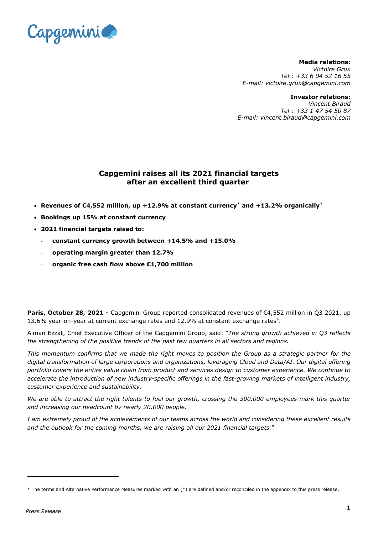

**Media relations:** *Victoire Grux Tel.: +33 6 04 52 16 55 E-mail: victoire.grux@capgemini.com*

#### **Investor relations:**

*Vincent Biraud Tel.: +33 1 47 54 50 87 E-mail: vincent.biraud@capgemini.com*

# **Capgemini raises all its 2021 financial targets after an excellent third quarter**

- **Revenues of €4,552 million, up +12.9% at constant currency[\\*](#page-0-0) and +13.2% organically[\\*](#page-0-1)**
- **Bookings up 15% at constant currency**
- **2021 financial targets raised to:**
	- **constant currency growth between +14.5% and +15.0%**
	- **operating margin greater than 12.7%**
	- **organic free cash flow above €1,700 million**

**Paris, October 28, 2021 -** Capgemini Group reported consolidated revenues of €4,552 million in Q3 2021, up 13.6% year-on-year at current exchange rates and 12.9% at constant exchange rates\*.

Aiman Ezzat, Chief Executive Officer of the Capgemini Group, said: "*The strong growth achieved in Q3 reflects the strengthening of the positive trends of the past few quarters in all sectors and regions.* 

*This momentum confirms that we made the right moves to position the Group as a strategic partner for the digital transformation of large corporations and organizations, leveraging Cloud and Data/AI. Our digital offering portfolio covers the entire value chain from product and services design to customer experience. We continue to accelerate the introduction of new industry-specific offerings in the fast-growing markets of intelligent industry, customer experience and sustainability.*

*We are able to attract the right talents to fuel our growth, crossing the 300,000 employees mark this quarter and increasing our headcount by nearly 20,000 people.*

*I am extremely proud of the achievements of our teams across the world and considering these excellent results and the outlook for the coming months, we are raising all our 2021 financial targets.*"

<span id="page-0-1"></span><span id="page-0-0"></span><sup>\*</sup> The terms and Alternative Performance Measures marked with an (\*) are defined and/or reconciled in the appendix to this press release.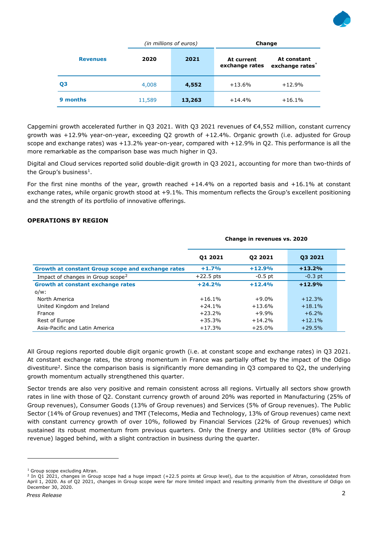

|                 | (in millions of euros) |        | Change                       |                                            |  |
|-----------------|------------------------|--------|------------------------------|--------------------------------------------|--|
| <b>Revenues</b> | 2020                   | 2021   | At current<br>exchange rates | At constant<br>exchange rates <sup>*</sup> |  |
| Q <sub>3</sub>  | 4,008                  | 4,552  | $+13.6%$                     | $+12.9%$                                   |  |
| 9 months        | 11,589                 | 13,263 | $+14.4%$                     | $+16.1%$                                   |  |

Capgemini growth accelerated further in Q3 2021. With Q3 2021 revenues of €4,552 million, constant currency growth was +12.9% year-on-year, exceeding Q2 growth of +12.4%. Organic growth (i.e. adjusted for Group scope and exchange rates) was +13.2% year-on-year, compared with +12.9% in Q2. This performance is all the more remarkable as the comparison base was much higher in Q3.

Digital and Cloud services reported solid double-digit growth in Q3 2021, accounting for more than two-thirds of the Group's business<sup>1</sup>.

For the first nine months of the year, growth reached  $+14.4\%$  on a reported basis and  $+16.1\%$  at constant exchange rates, while organic growth stood at +9.1%. This momentum reflects the Group's excellent positioning and the strength of its portfolio of innovative offerings.

## **OPERATIONS BY REGION**

<span id="page-1-0"></span>

|                                                   | Change in revenues vs. 2020 |           |           |  |
|---------------------------------------------------|-----------------------------|-----------|-----------|--|
|                                                   | 01 2021                     | 02 2021   | Q3 2021   |  |
| Growth at constant Group scope and exchange rates | $+1.7%$                     | $+12.9%$  | $+13.2%$  |  |
| Impact of changes in Group scope <sup>2</sup>     | $+22.5$ pts                 | $-0.5$ pt | $-0.3$ pt |  |
| Growth at constant exchange rates                 | $+24.2%$                    | $+12.4%$  | $+12.9%$  |  |
| $o/w$ :                                           |                             |           |           |  |
| North America                                     | $+16.1%$                    | $+9.0\%$  | $+12.3%$  |  |
| United Kingdom and Ireland                        | $+24.1%$                    | $+13.6%$  | $+18.1%$  |  |
| France                                            | $+23.2%$                    | $+9.9%$   | $+6.2%$   |  |
| Rest of Europe                                    | $+35.3%$                    | $+14.2%$  | $+12.1%$  |  |
| Asia-Pacific and Latin America                    | $+17.3%$                    | $+25.0%$  | $+29.5%$  |  |

All Group regions reported double digit organic growth (i.e. at constant scope and exchange rates) in Q3 2021. At constant exchange rates, the strong momentum in France was partially offset by the impact of the Odigo divestiture<sup>2</sup>. Since the comparison basis is significantly more demanding in Q3 compared to Q2, the underlying growth momentum actually strengthened this quarter.

Sector trends are also very positive and remain consistent across all regions. Virtually all sectors show growth rates in line with those of Q2. Constant currency growth of around 20% was reported in Manufacturing (25% of Group revenues), Consumer Goods (13% of Group revenues) and Services (5% of Group revenues). The Public Sector (14% of Group revenues) and TMT (Telecoms, Media and Technology, 13% of Group revenues) came next with constant currency growth of over 10%, followed by Financial Services (22% of Group revenues) which sustained its robust momentum from previous quarters. Only the Energy and Utilities sector (8% of Group revenue) lagged behind, with a slight contraction in business during the quarter.

<span id="page-1-1"></span><sup>&</sup>lt;sup>1</sup> Group scope excluding Altran.

<span id="page-1-2"></span><sup>&</sup>lt;sup>2</sup> In Q1 2021, changes in Group scope had a huge impact (+22.5 points at Group level), due to the acquisition of Altran, consolidated from April 1, 2020. As of Q2 2021, changes in Group scope were far more limited impact and resulting primarily from the divestiture of Odigo on December 30, 2020.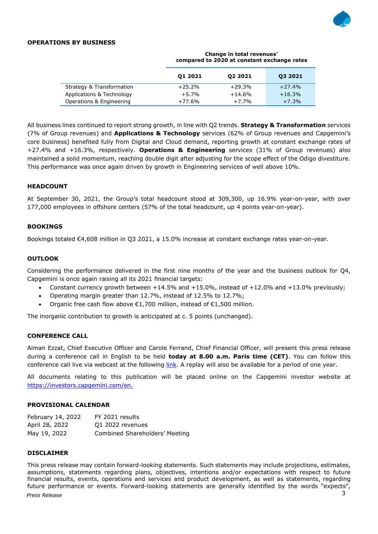

## **OPERATIONS BY BUSINESS**

|                           |          | compared to 2020 at constant exchange rates |          |
|---------------------------|----------|---------------------------------------------|----------|
|                           | 01 2021  | 02 2021                                     | 03 2021  |
| Strategy & Transformation | $+25.2%$ | $+29.3%$                                    | $+27.4%$ |
| Applications & Technology | $+5.7%$  | $+14.6%$                                    | $+16.3%$ |
| Operations & Engineering  | $+77.6%$ | $+7.7%$                                     | $+7.3%$  |

**Change in total revenues\* compared to 2020 at constant exchange rates**

All business lines continued to report strong growth, in line with Q2 trends. **Strategy & Transformation** services (7% of Group revenues) and **Applications & Technology** services (62% of Group revenues and Capgemini's core business) benefited fully from Digital and Cloud demand, reporting growth at constant exchange rates of +27.4% and +16.3%, respectively. **Operations & Engineering** services (31% of Group revenues) also maintained a solid momentum, reaching double digit after adjusting for the scope effect of the Odigo divestiture. This performance was once again driven by growth in Engineering services of well above 10%.

## **HEADCOUNT**

At September 30, 2021, the Group's total headcount stood at 309,300, up 16.9% year-on-year, with over 177,000 employees in offshore centers (57% of the total headcount, up 4 points year-on-year).

#### **BOOKINGS**

Bookings totaled €4,608 million in Q3 2021, a 15.0% increase at constant exchange rates year-on-year.

#### **OUTLOOK**

Considering the performance delivered in the first nine months of the year and the business outlook for Q4, Capgemini is once again raising all its 2021 financial targets:

- Constant currency growth between +14.5% and +15.0%, instead of +12.0% and +13.0% previously;
- Operating margin greater than 12.7%, instead of 12.5% to 12.7%;
- Organic free cash flow above  $\epsilon$ 1,700 million, instead of  $\epsilon$ 1,500 million.

The inorganic contribution to growth is anticipated at c. 5 points (unchanged).

#### **CONFERENCE CALL**

Aiman Ezzat, Chief Executive Officer and Carole Ferrand, Chief Financial Officer, will present this press release during a conference call in English to be held **today at 8.00 a.m. Paris time (CET)**. You can follow this conference call live via webcast at the following [link.](https://edge.media-server.com/mmc/p/rwhmsg6e) A replay will also be available for a period of one year.

All documents relating to this publication will be placed online on the Capgemini investor website at <https://investors.capgemini.com/en.>

#### **PROVISIONAL CALENDAR**

| February 14, 2022 | FY 2021 results                |
|-------------------|--------------------------------|
| April 28, 2022    | Q1 2022 revenues               |
| May 19, 2022      | Combined Shareholders' Meeting |

#### **DISCLAIMER**

*Press Release* 3 This press release may contain forward-looking statements. Such statements may include projections, estimates, assumptions, statements regarding plans, objectives, intentions and/or expectations with respect to future financial results, events, operations and services and product development, as well as statements, regarding future performance or events. Forward-looking statements are generally identified by the words "expects",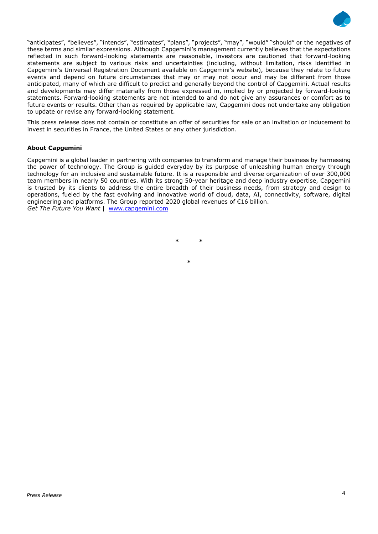

"anticipates", "believes", "intends", "estimates", "plans", "projects", "may", "would" "should" or the negatives of these terms and similar expressions. Although Capgemini's management currently believes that the expectations reflected in such forward-looking statements are reasonable, investors are cautioned that forward-looking statements are subject to various risks and uncertainties (including, without limitation, risks identified in Capgemini's Universal Registration Document available on Capgemini's website), because they relate to future events and depend on future circumstances that may or may not occur and may be different from those anticipated, many of which are difficult to predict and generally beyond the control of Capgemini. Actual results and developments may differ materially from those expressed in, implied by or projected by forward-looking statements. Forward-looking statements are not intended to and do not give any assurances or comfort as to future events or results. Other than as required by applicable law, Capgemini does not undertake any obligation to update or revise any forward-looking statement.

This press release does not contain or constitute an offer of securities for sale or an invitation or inducement to invest in securities in France, the United States or any other jurisdiction.

#### **About Capgemini**

Capgemini is a global leader in partnering with companies to transform and manage their business by harnessing the power of technology. The Group is guided everyday by its purpose of unleashing human energy through technology for an inclusive and sustainable future. It is a responsible and diverse organization of over 300,000 team members in nearly 50 countries. With its strong 50-year heritage and deep industry expertise, Capgemini is trusted by its clients to address the entire breadth of their business needs, from strategy and design to operations, fueled by the fast evolving and innovative world of cloud, data, AI, connectivity, software, digital engineering and platforms. The Group reported 2020 global revenues of €16 billion. *Get The Future You Want* | [www.capgemini.com](http://www.capgemini.com/#_blank)

**\* \***

**\***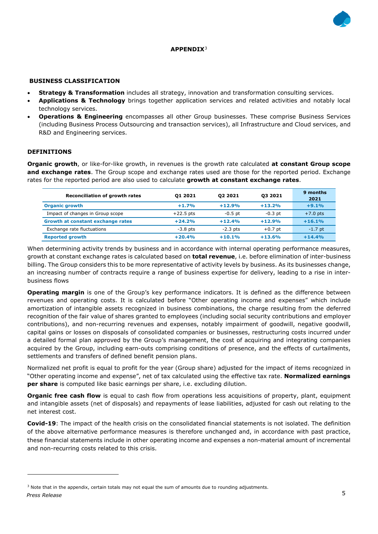

## **APPENDIX**[3](#page-4-0)

#### **BUSINESS CLASSIFICATION**

- **Strategy & Transformation** includes all strategy, innovation and transformation consulting services.
- **Applications & Technology** brings together application services and related activities and notably local technology services.
- **Operations & Engineering** encompasses all other Group businesses. These comprise Business Services (including Business Process Outsourcing and transaction services), all Infrastructure and Cloud services, and R&D and Engineering services.

#### **DEFINITIONS**

**Organic growth**, or like-for-like growth, in revenues is the growth rate calculated **at constant Group scope and exchange rates**. The Group scope and exchange rates used are those for the reported period. Exchange rates for the reported period are also used to calculate **growth at constant exchange rates**.

| <b>Reconciliation of growth rates</b> | 01 2021     | 02 2021    | 03 2021   | 9 months<br>2021 |
|---------------------------------------|-------------|------------|-----------|------------------|
| <b>Organic growth</b>                 | $+1.7%$     | $+12.9%$   | $+13.2%$  | $+9.1%$          |
| Impact of changes in Group scope      | $+22.5$ pts | $-0.5$ pt  | $-0.3$ pt | $+7.0$ pts       |
| Growth at constant exchange rates     | $+24.2%$    | $+12.4%$   | $+12.9%$  | $+16.1%$         |
| Exchange rate fluctuations            | $-3.8$ pts  | $-2.3$ pts | $+0.7$ pt | $-1.7$ pt        |
| <b>Reported growth</b>                | $+20.4%$    | $+10.1%$   | $+13.6%$  | $+14.4%$         |

When determining activity trends by business and in accordance with internal operating performance measures, growth at constant exchange rates is calculated based on **total revenue**, i.e. before elimination of inter-business billing. The Group considers this to be more representative of activity levels by business. As its businesses change, an increasing number of contracts require a range of business expertise for delivery, leading to a rise in interbusiness flows

**Operating margin** is one of the Group's key performance indicators. It is defined as the difference between revenues and operating costs. It is calculated before "Other operating income and expenses" which include amortization of intangible assets recognized in business combinations, the charge resulting from the deferred recognition of the fair value of shares granted to employees (including social security contributions and employer contributions), and non-recurring revenues and expenses, notably impairment of goodwill, negative goodwill, capital gains or losses on disposals of consolidated companies or businesses, restructuring costs incurred under a detailed formal plan approved by the Group's management, the cost of acquiring and integrating companies acquired by the Group, including earn-outs comprising conditions of presence, and the effects of curtailments, settlements and transfers of defined benefit pension plans.

Normalized net profit is equal to profit for the year (Group share) adjusted for the impact of items recognized in "Other operating income and expense", net of tax calculated using the effective tax rate. **Normalized earnings per share** is computed like basic earnings per share, i.e. excluding dilution.

**Organic free cash flow** is equal to cash flow from operations less acquisitions of property, plant, equipment and intangible assets (net of disposals) and repayments of lease liabilities, adjusted for cash out relating to the net interest cost.

**Covid-19**: The impact of the health crisis on the consolidated financial statements is not isolated. The definition of the above alternative performance measures is therefore unchanged and, in accordance with past practice, these financial statements include in other operating income and expenses a non-material amount of incremental and non-recurring costs related to this crisis.

<span id="page-4-0"></span>*Press Release* 5 <sup>3</sup> Note that in the appendix, certain totals may not equal the sum of amounts due to rounding adjustments.